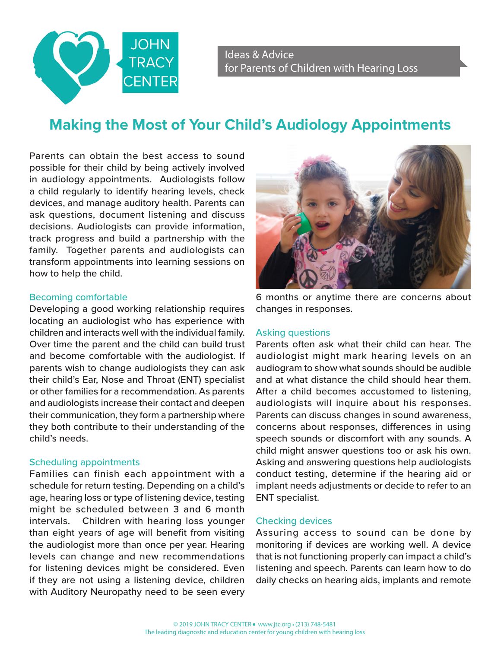

# **Making the Most of Your Child's Audiology Appointments**

Parents can obtain the best access to sound possible for their child by being actively involved in audiology appointments. Audiologists follow a child regularly to identify hearing levels, check devices, and manage auditory health. Parents can ask questions, document listening and discuss decisions. Audiologists can provide information, track progress and build a partnership with the family. Together parents and audiologists can transform appointments into learning sessions on how to help the child.

# Becoming comfortable

Developing a good working relationship requires locating an audiologist who has experience with children and interacts well with the individual family. Over time the parent and the child can build trust and become comfortable with the audiologist. If parents wish to change audiologists they can ask their child's Ear, Nose and Throat (ENT) specialist or other families for a recommendation. As parents and audiologists increase their contact and deepen their communication, they form a partnership where they both contribute to their understanding of the child's needs.

# Scheduling appointments

Families can finish each appointment with a schedule for return testing. Depending on a child's age, hearing loss or type of listening device, testing might be scheduled between 3 and 6 month intervals. Children with hearing loss younger than eight years of age will benefit from visiting the audiologist more than once per year. Hearing levels can change and new recommendations for listening devices might be considered. Even if they are not using a listening device, children with Auditory Neuropathy need to be seen every



6 months or anytime there are concerns about changes in responses.

# Asking questions

Parents often ask what their child can hear. The audiologist might mark hearing levels on an audiogram to show what sounds should be audible and at what distance the child should hear them. After a child becomes accustomed to listening, audiologists will inquire about his responses. Parents can discuss changes in sound awareness, concerns about responses, differences in using speech sounds or discomfort with any sounds. A child might answer questions too or ask his own. Asking and answering questions help audiologists conduct testing, determine if the hearing aid or implant needs adjustments or decide to refer to an ENT specialist.

# Checking devices

Assuring access to sound can be done by monitoring if devices are working well. A device that is not functioning properly can impact a child's listening and speech. Parents can learn how to do daily checks on hearing aids, implants and remote